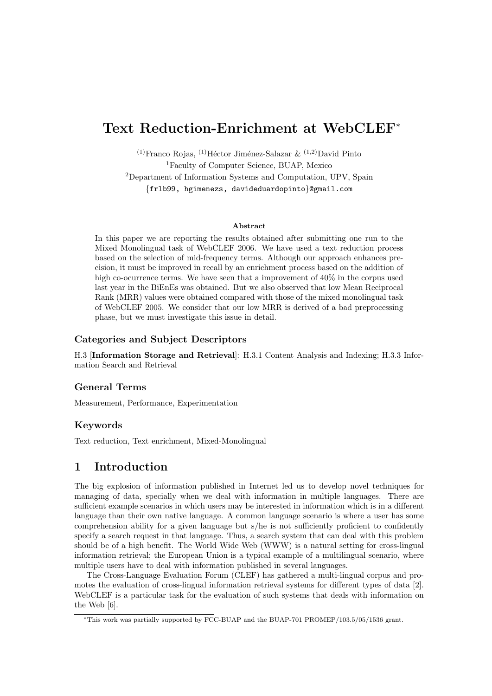# Text Reduction-Enrichment at WebCLEF<sup>∗</sup>

<sup>(1)</sup>Franco Rojas, <sup>(1)</sup>Héctor Jiménez-Salazar  $\&$  <sup>(1,2)</sup>David Pinto <sup>1</sup>Faculty of Computer Science, BUAP, Mexico <sup>2</sup>Department of Information Systems and Computation, UPV, Spain {frlb99, hgimenezs, davideduardopinto}@gmail.com

#### Abstract

In this paper we are reporting the results obtained after submitting one run to the Mixed Monolingual task of WebCLEF 2006. We have used a text reduction process based on the selection of mid-frequency terms. Although our approach enhances precision, it must be improved in recall by an enrichment process based on the addition of high co-ocurrence terms. We have seen that a improvement of  $40\%$  in the corpus used last year in the BiEnEs was obtained. But we also observed that low Mean Reciprocal Rank (MRR) values were obtained compared with those of the mixed monolingual task of WebCLEF 2005. We consider that our low MRR is derived of a bad preprocessing phase, but we must investigate this issue in detail.

## Categories and Subject Descriptors

H.3 [Information Storage and Retrieval]: H.3.1 Content Analysis and Indexing; H.3.3 Information Search and Retrieval

### General Terms

Measurement, Performance, Experimentation

### Keywords

Text reduction, Text enrichment, Mixed-Monolingual

# 1 Introduction

The big explosion of information published in Internet led us to develop novel techniques for managing of data, specially when we deal with information in multiple languages. There are sufficient example scenarios in which users may be interested in information which is in a different language than their own native language. A common language scenario is where a user has some comprehension ability for a given language but s/he is not sufficiently proficient to confidently specify a search request in that language. Thus, a search system that can deal with this problem should be of a high benefit. The World Wide Web (WWW) is a natural setting for cross-lingual information retrieval; the European Union is a typical example of a multilingual scenario, where multiple users have to deal with information published in several languages.

The Cross-Language Evaluation Forum (CLEF) has gathered a multi-lingual corpus and promotes the evaluation of cross-lingual information retrieval systems for different types of data [2]. WebCLEF is a particular task for the evaluation of such systems that deals with information on the Web [6].

<sup>∗</sup>This work was partially supported by FCC-BUAP and the BUAP-701 PROMEP/103.5/05/1536 grant.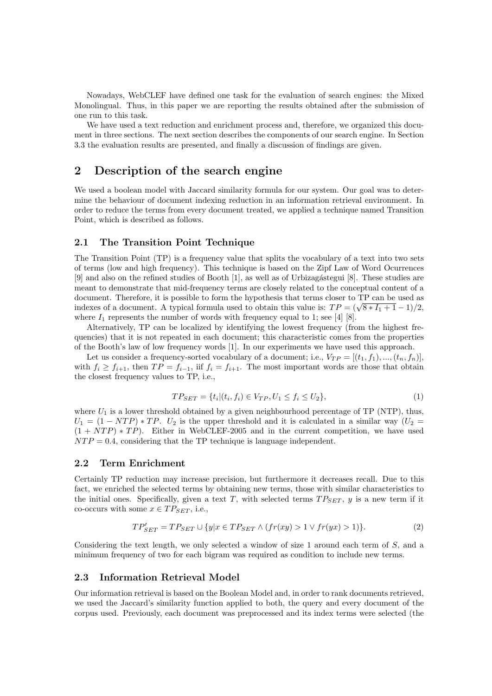Nowadays, WebCLEF have defined one task for the evaluation of search engines: the Mixed Monolingual. Thus, in this paper we are reporting the results obtained after the submission of one run to this task.

We have used a text reduction and enrichment process and, therefore, we organized this document in three sections. The next section describes the components of our search engine. In Section 3.3 the evaluation results are presented, and finally a discussion of findings are given.

# 2 Description of the search engine

We used a boolean model with Jaccard similarity formula for our system. Our goal was to determine the behaviour of document indexing reduction in an information retrieval environment. In order to reduce the terms from every document treated, we applied a technique named Transition Point, which is described as follows.

## 2.1 The Transition Point Technique

The Transition Point (TP) is a frequency value that splits the vocabulary of a text into two sets of terms (low and high frequency). This technique is based on the Zipf Law of Word Ocurrences [9] and also on the refined studies of Booth [1], as well as of Urbizag´astegui [8]. These studies are meant to demonstrate that mid-frequency terms are closely related to the conceptual content of a document. Therefore, it is possible to form the hypothesis that terms closer to TP can be used as document. I herefore, it is possible to form the hypothesis that terms closer to  $1r$  can be used as indexes of a document. A typical formula used to obtain this value is:  $TP = (\sqrt{8 * I_1 + 1} - 1)/2$ , where  $I_1$  represents the number of words with frequency equal to 1; see [4] [8].

Alternatively, TP can be localized by identifying the lowest frequency (from the highest frequencies) that it is not repeated in each document; this characteristic comes from the properties of the Booth's law of low frequency words [1]. In our experiments we have used this approach.

Let us consider a frequency-sorted vocabulary of a document; i.e.,  $V_{TP} = [(t_1, f_1), ..., (t_n, f_n)]$ with  $f_i \ge f_{i+1}$ , then  $TP = f_{i-1}$ , iif  $f_i = f_{i+1}$ . The most important words are those that obtain the closest frequency values to TP, i.e.,

$$
TP_{SET} = \{t_i | (t_i, f_i) \in V_{TP}, U_1 \le f_i \le U_2\},\tag{1}
$$

where  $U_1$  is a lower threshold obtained by a given neighbourhood percentage of TP (NTP), thus,  $U_1 = (1 - NTP) * TP$ .  $U_2$  is the upper threshold and it is calculated in a similar way  $(U_2 =$  $(1 + NTP) * TP$ ). Either in WebCLEF-2005 and in the current competition, we have used  $NTP = 0.4$ , considering that the TP technique is language independent.

## 2.2 Term Enrichment

Certainly TP reduction may increase precision, but furthermore it decreases recall. Due to this fact, we enriched the selected terms by obtaining new terms, those with similar characteristics to the initial ones. Specifically, given a text T, with selected terms  $TP_{SET}$ , y is a new term if it co-occurs with some  $x \in TP_{SET}$ , i.e.,

$$
TP'_{SET} = TP_{SET} \cup \{y|x \in TP_{SET} \land (fr(xy) > 1 \lor fr(yx) > 1)\}.
$$
\n(2)

Considering the text length, we only selected a window of size 1 around each term of S, and a minimum frequency of two for each bigram was required as condition to include new terms.

## 2.3 Information Retrieval Model

Our information retrieval is based on the Boolean Model and, in order to rank documents retrieved, we used the Jaccard's similarity function applied to both, the query and every document of the corpus used. Previously, each document was preprocessed and its index terms were selected (the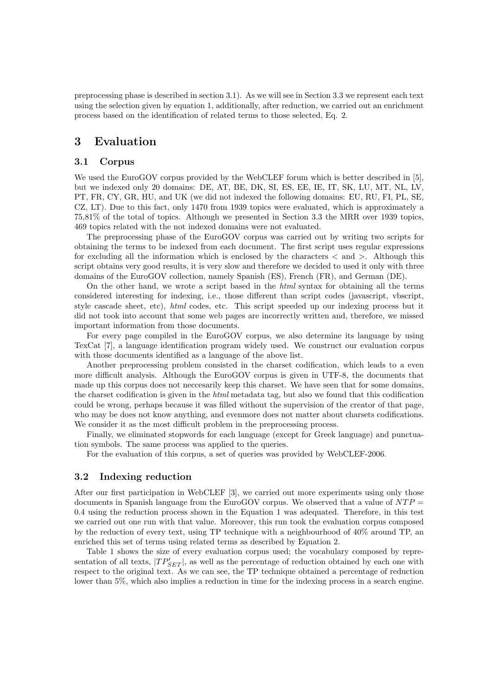preprocessing phase is described in section 3.1). As we will see in Section 3.3 we represent each text using the selection given by equation 1, additionally, after reduction, we carried out an enrichment process based on the identification of related terms to those selected, Eq. 2.

# 3 Evaluation

## 3.1 Corpus

We used the EuroGOV corpus provided by the WebCLEF forum which is better described in [5], but we indexed only 20 domains: DE, AT, BE, DK, SI, ES, EE, IE, IT, SK, LU, MT, NL, LV, PT, FR, CY, GR, HU, and UK (we did not indexed the following domains: EU, RU, FI, PL, SE, CZ, LT). Due to this fact, only 1470 from 1939 topics were evaluated, which is approximately a 75,81% of the total of topics. Although we presented in Section 3.3 the MRR over 1939 topics, 469 topics related with the not indexed domains were not evaluated.

The preprocessing phase of the EuroGOV corpus was carried out by writing two scripts for obtaining the terms to be indexed from each document. The first script uses regular expressions for excluding all the information which is enclosed by the characters  $\langle$  and  $\rangle$ . Although this script obtains very good results, it is very slow and therefore we decided to used it only with three domains of the EuroGOV collection, namely Spanish (ES), French (FR), and German (DE).

On the other hand, we wrote a script based in the html syntax for obtaining all the terms considered interesting for indexing, i.e., those different than script codes (javascript, vbscript, style cascade sheet, etc), html codes, etc. This script speeded up our indexing process but it did not took into account that some web pages are incorrectly written and, therefore, we missed important information from those documents.

For every page compiled in the EuroGOV corpus, we also determine its language by using TexCat [7], a language identification program widely used. We construct our evaluation corpus with those documents identified as a language of the above list.

Another preprocessing problem consisted in the charset codification, which leads to a even more difficult analysis. Although the EuroGOV corpus is given in UTF-8, the documents that made up this corpus does not neccesarily keep this charset. We have seen that for some domains, the charset codification is given in the html metadata tag, but also we found that this codification could be wrong, perhaps because it was filled without the supervision of the creator of that page, who may be does not know anything, and evenmore does not matter about charsets codifications. We consider it as the most difficult problem in the preprocessing process.

Finally, we eliminated stopwords for each language (except for Greek language) and punctuation symbols. The same process was applied to the queries.

For the evaluation of this corpus, a set of queries was provided by WebCLEF-2006.

#### 3.2 Indexing reduction

After our first participation in WebCLEF [3], we carried out more experiments using only those documents in Spanish language from the EuroGOV corpus. We observed that a value of  $NTP =$ 0.4 using the reduction process shown in the Equation 1 was adequated. Therefore, in this test we carried out one run with that value. Moreover, this run took the evaluation corpus composed by the reduction of every text, using TP technique with a neighbourhood of 40% around TP, an enriched this set of terms using related terms as described by Equation 2.

Table 1 shows the size of every evaluation corpus used; the vocabulary composed by representation of all texts,  $|TP'_{SET}|$ , as well as the percentage of reduction obtained by each one with respect to the original text. As we can see, the TP technique obtained a percentage of reduction lower than 5%, which also implies a reduction in time for the indexing process in a search engine.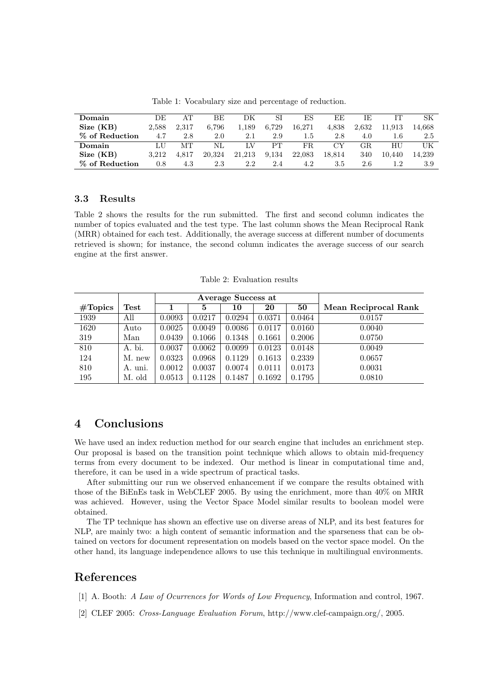| Domain         | DE      | AТ    | ВE     | DК     | SI    | ES     | ЕE     | ΙE    |        | SК     |
|----------------|---------|-------|--------|--------|-------|--------|--------|-------|--------|--------|
| Size (KB)      | 2,588   | 2.317 | 6.796  | 1.189  | 6.729 | 16.271 | 4,838  | 2,632 | 11.913 | 14.668 |
| % of Reduction | 4.7     | 2.8   | 2.0    | 2.1    | 2.9   | 1.5    | 2.8    | 4.0   | 1.6    | 2.5    |
| Domain         | LU      | MТ    | NL     | LV     | PТ    | FR.    | CY     | GR.   | HU     | UK     |
| Size (KB)      | 3.212   | 4.817 | 20,324 | 21,213 | 9.134 | 22,083 | 18.814 | 340   | 10.440 | 14.239 |
| % of Reduction | $0.8\,$ | 4.3   | 2.3    | 2.2    | 2.4   | 4.2    | 3.5    | 2.6   |        | 3.9    |

Table 1: Vocabulary size and percentage of reduction.

# 3.3 Results

Table 2 shows the results for the run submitted. The first and second column indicates the number of topics evaluated and the test type. The last column shows the Mean Reciprocal Rank (MRR) obtained for each test. Additionally, the average success at different number of documents retrieved is shown; for instance, the second column indicates the average success of our search engine at the first answer.

Table 2: Evaluation results

|                   |                       |        |        | Average Success at |        |        |                      |
|-------------------|-----------------------|--------|--------|--------------------|--------|--------|----------------------|
| $\#\text{Topies}$ | $\operatorname{Test}$ |        | 5      | 10                 | 20     | 50     | Mean Reciprocal Rank |
| 1939              | All                   | 0.0093 | 0.0217 | 0.0294             | 0.0371 | 0.0464 | 0.0157               |
| 1620              | Auto                  | 0.0025 | 0.0049 | 0.0086             | 0.0117 | 0.0160 | 0.0040               |
| 319               | Man                   | 0.0439 | 0.1066 | 0.1348             | 0.1661 | 0.2006 | 0.0750               |
| 810               | A. bi.                | 0.0037 | 0.0062 | 0.0099             | 0.0123 | 0.0148 | 0.0049               |
| 124               | M. new                | 0.0323 | 0.0968 | 0.1129             | 0.1613 | 0.2339 | 0.0657               |
| 810               | A. uni.               | 0.0012 | 0.0037 | 0.0074             | 0.0111 | 0.0173 | 0.0031               |
| 195               | M. old                | 0.0513 | 0.1128 | 0.1487             | 0.1692 | 0.1795 | 0.0810               |

# 4 Conclusions

We have used an index reduction method for our search engine that includes an enrichment step. Our proposal is based on the transition point technique which allows to obtain mid-frequency terms from every document to be indexed. Our method is linear in computational time and, therefore, it can be used in a wide spectrum of practical tasks.

After submitting our run we observed enhancement if we compare the results obtained with those of the BiEnEs task in WebCLEF 2005. By using the enrichment, more than 40% on MRR was achieved. However, using the Vector Space Model similar results to boolean model were obtained.

The TP technique has shown an effective use on diverse areas of NLP, and its best features for NLP, are mainly two: a high content of semantic information and the sparseness that can be obtained on vectors for document representation on models based on the vector space model. On the other hand, its language independence allows to use this technique in multilingual environments.

# References

[1] A. Booth: A Law of Ocurrences for Words of Low Frequency, Information and control, 1967.

[2] CLEF 2005: Cross-Language Evaluation Forum, http://www.clef-campaign.org/, 2005.